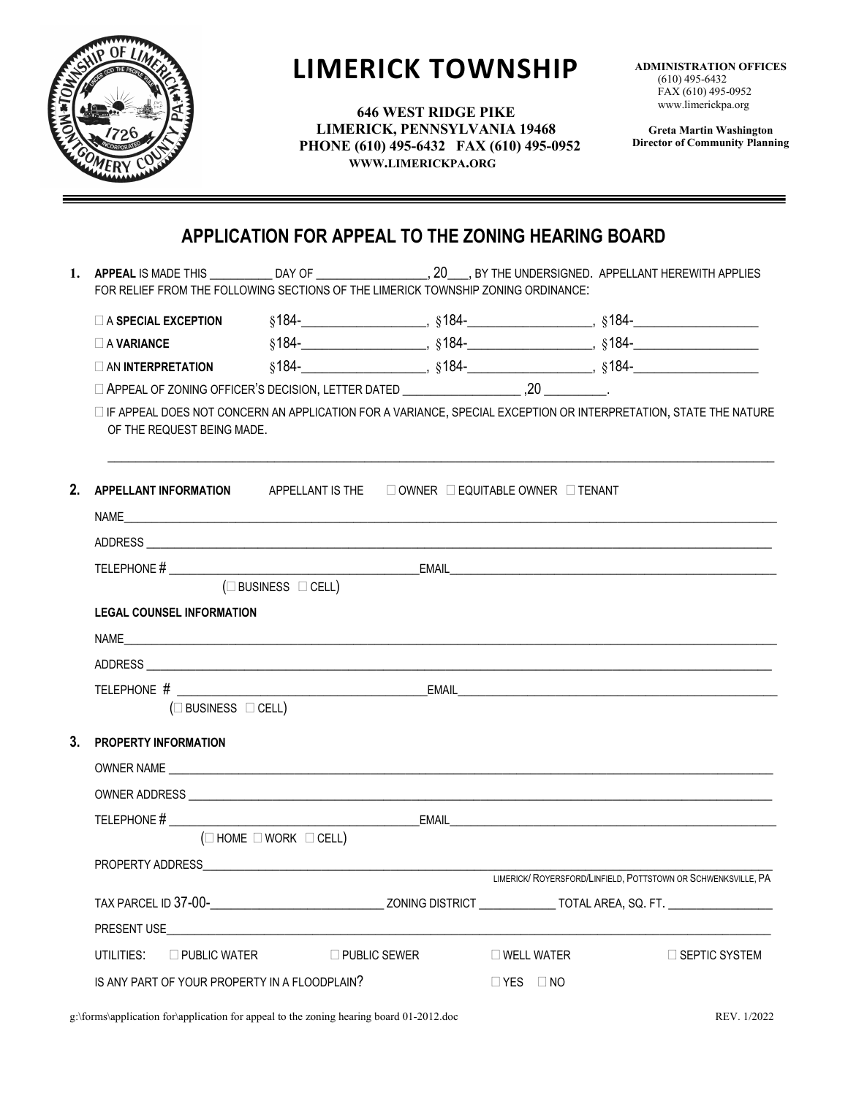

# **LIMERICK TOWNSHIP**

**646 WEST RIDGE PIKE LIMERICK, PENNSYLVANIA 19468 PHONE (610) 495-6432 FAX (610) 495-0952 WWW.LIMERICKPA.ORG**

**ADMINISTRATION OFFICES** (610) 495-6432 FAX (610) 495-0952 www.limerickpa.org

**Greta Martin Washington Director of Community Planning**

# **APPLICATION FOR APPEAL TO THE ZONING HEARING BOARD**

|                | FOR RELIEF FROM THE FOLLOWING SECTIONS OF THE LIMERICK TOWNSHIP ZONING ORDINANCE:                                                               |  |                     |                      | 1. APPEAL IS MADE THIS <b>DAY OF THE UNDERSIGNED.</b> APPELLANT HEREWITH APPLIES |  |  |  |  |  |
|----------------|-------------------------------------------------------------------------------------------------------------------------------------------------|--|---------------------|----------------------|----------------------------------------------------------------------------------|--|--|--|--|--|
|                |                                                                                                                                                 |  |                     |                      |                                                                                  |  |  |  |  |  |
|                | $\Box$ A VARIANCE                                                                                                                               |  |                     |                      |                                                                                  |  |  |  |  |  |
|                |                                                                                                                                                 |  |                     |                      |                                                                                  |  |  |  |  |  |
|                |                                                                                                                                                 |  |                     |                      |                                                                                  |  |  |  |  |  |
|                | □ IF APPEAL DOES NOT CONCERN AN APPLICATION FOR A VARIANCE, SPECIAL EXCEPTION OR INTERPRETATION, STATE THE NATURE<br>OF THE REQUEST BEING MADE. |  |                     |                      |                                                                                  |  |  |  |  |  |
| 2.             | APPELLANT INFORMATION APPELLANT IS THE DOWNER DEQUITABLE OWNER DTENANT                                                                          |  |                     |                      |                                                                                  |  |  |  |  |  |
|                |                                                                                                                                                 |  |                     |                      |                                                                                  |  |  |  |  |  |
|                |                                                                                                                                                 |  |                     |                      |                                                                                  |  |  |  |  |  |
|                | $(\square$ BUSINESS $\square$ CELL)                                                                                                             |  |                     |                      |                                                                                  |  |  |  |  |  |
|                | <b>LEGAL COUNSEL INFORMATION</b>                                                                                                                |  |                     |                      |                                                                                  |  |  |  |  |  |
|                |                                                                                                                                                 |  |                     |                      |                                                                                  |  |  |  |  |  |
|                |                                                                                                                                                 |  |                     |                      |                                                                                  |  |  |  |  |  |
|                |                                                                                                                                                 |  |                     |                      |                                                                                  |  |  |  |  |  |
|                | $(\Box$ BUSINESS $\Box$ CELL)                                                                                                                   |  |                     |                      |                                                                                  |  |  |  |  |  |
| 3 <sub>1</sub> | <b>PROPERTY INFORMATION</b>                                                                                                                     |  |                     |                      |                                                                                  |  |  |  |  |  |
|                |                                                                                                                                                 |  |                     |                      |                                                                                  |  |  |  |  |  |
|                |                                                                                                                                                 |  |                     |                      |                                                                                  |  |  |  |  |  |
|                |                                                                                                                                                 |  |                     |                      |                                                                                  |  |  |  |  |  |
|                | $(\Box$ HOME $\Box$ WORK $\Box$ CELL)                                                                                                           |  |                     |                      |                                                                                  |  |  |  |  |  |
|                |                                                                                                                                                 |  |                     |                      |                                                                                  |  |  |  |  |  |
|                | LIMERICK/ ROYERSFORD/LINFIELD, POTTSTOWN OR SCHWENKSVILLE, PA                                                                                   |  |                     |                      |                                                                                  |  |  |  |  |  |
|                |                                                                                                                                                 |  |                     |                      |                                                                                  |  |  |  |  |  |
|                |                                                                                                                                                 |  |                     |                      |                                                                                  |  |  |  |  |  |
|                | UTILITIES:<br>$\Box$ PUBLIC WATER                                                                                                               |  | $\Box$ PUBLIC SEWER | $\square$ WELL WATER | $\Box$ SEPTIC SYSTEM                                                             |  |  |  |  |  |
|                | IS ANY PART OF YOUR PROPERTY IN A FLOODPLAIN?                                                                                                   |  |                     | $\Box$ YES $\Box$ NO |                                                                                  |  |  |  |  |  |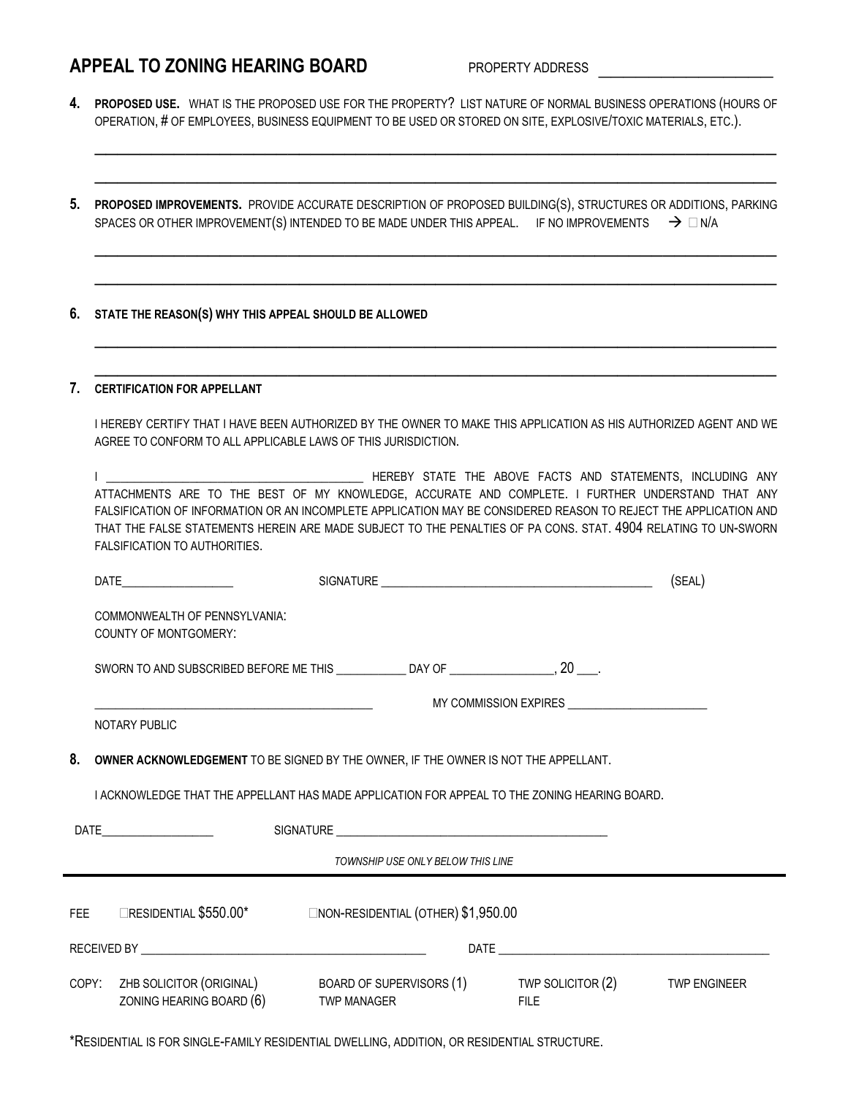## **APPEAL TO ZONING HEARING BOARD** PROPERTY ADDRESS

**4. PROPOSED USE.** WHAT IS THE PROPOSED USE FOR THE PROPERTY? LIST NATURE OF NORMAL BUSINESS OPERATIONS (HOURS OF OPERATION, # OF EMPLOYEES, BUSINESS EQUIPMENT TO BE USED OR STORED ON SITE, EXPLOSIVE/TOXIC MATERIALS, ETC.).

\_\_\_\_\_\_\_\_\_\_\_\_\_\_\_\_\_\_\_\_\_\_\_\_\_\_\_\_\_\_\_\_\_\_\_\_\_\_\_\_\_\_\_\_\_\_\_\_\_\_\_\_\_\_\_\_\_\_\_\_

\_\_\_\_\_\_\_\_\_\_\_\_\_\_\_\_\_\_\_\_\_\_\_\_\_\_\_\_\_\_\_\_\_\_\_\_\_\_\_\_\_\_\_\_\_\_\_\_\_\_\_\_\_\_\_\_\_\_\_\_

\_\_\_\_\_\_\_\_\_\_\_\_\_\_\_\_\_\_\_\_\_\_\_\_\_\_\_\_\_\_\_\_\_\_\_\_\_\_\_\_\_\_\_\_\_\_\_\_\_\_\_\_\_\_\_\_\_\_\_\_

\_\_\_\_\_\_\_\_\_\_\_\_\_\_\_\_\_\_\_\_\_\_\_\_\_\_\_\_\_\_\_\_\_\_\_\_\_\_\_\_\_\_\_\_\_\_\_\_\_\_\_\_\_\_\_\_\_\_\_\_

\_\_\_\_\_\_\_\_\_\_\_\_\_\_\_\_\_\_\_\_\_\_\_\_\_\_\_\_\_\_\_\_\_\_\_\_\_\_\_\_\_\_\_\_\_\_\_\_\_\_\_\_\_\_\_\_\_\_\_\_

\_\_\_\_\_\_\_\_\_\_\_\_\_\_\_\_\_\_\_\_\_\_\_\_\_\_\_\_\_\_\_\_\_\_\_\_\_\_\_\_\_\_\_\_\_\_\_\_\_\_\_\_\_\_\_\_\_\_\_\_

- **5. PROPOSED IMPROVEMENTS.** PROVIDE ACCURATE DESCRIPTION OF PROPOSED BUILDING(S), STRUCTURES OR ADDITIONS, PARKING SPACES OR OTHER IMPROVEMENT(S) INTENDED TO BE MADE UNDER THIS APPEAL. IF NO IMPROVEMENTS  $\rightarrow \Box$  N/A
- **6. STATE THE REASON(S) WHY THIS APPEAL SHOULD BE ALLOWED**

#### **7. CERTIFICATION FOR APPELLANT**

I HEREBY CERTIFY THAT I HAVE BEEN AUTHORIZED BY THE OWNER TO MAKE THIS APPLICATION AS HIS AUTHORIZED AGENT AND WE AGREE TO CONFORM TO ALL APPLICABLE LAWS OF THIS JURISDICTION.

|                                                                                                                  |  | HEREBY STATE THE ABOVE FACTS AND STATEMENTS. INCLUDING ANY |
|------------------------------------------------------------------------------------------------------------------|--|------------------------------------------------------------|
| ATTACHMENTS ARE TO THE BEST OF MY KNOWLEDGE, ACCURATE AND COMPLETE, I FURTHER UNDERSTAND THAT ANY                |  |                                                            |
| FALSIFICATION OF INFORMATION OR AN INCOMPLETE APPLICATION MAY BE CONSIDERED REASON TO REJECT THE APPLICATION AND |  |                                                            |
| THAT THE FALSE STATEMENTS HEREIN ARE MADE SUBJECT TO THE PENALTIES OF PA CONS. STAT, 4904 RELATING TO UN-SWORN   |  |                                                            |
| FALSIFICATION TO AUTHORITIES.                                                                                    |  |                                                            |

|                                                                                                                |                                                                                                       |                    | (SEAL) |             |                     |  |  |  |  |  |
|----------------------------------------------------------------------------------------------------------------|-------------------------------------------------------------------------------------------------------|--------------------|--------|-------------|---------------------|--|--|--|--|--|
|                                                                                                                | COMMONWEALTH OF PENNSYLVANIA:<br>COUNTY OF MONTGOMERY:                                                |                    |        |             |                     |  |  |  |  |  |
|                                                                                                                | SWORN TO AND SUBSCRIBED BEFORE ME THIS _______________DAY OF ___________________, 20 ____.            |                    |        |             |                     |  |  |  |  |  |
| MY COMMISSION EXPIRES ___________________________<br><u> 1989 - Johann Barnett, fransk politiker (d. 1989)</u> |                                                                                                       |                    |        |             |                     |  |  |  |  |  |
|                                                                                                                | NOTARY PUBLIC                                                                                         |                    |        |             |                     |  |  |  |  |  |
| 8. OWNER ACKNOWLEDGEMENT TO BE SIGNED BY THE OWNER, IF THE OWNER IS NOT THE APPELLANT.                         |                                                                                                       |                    |        |             |                     |  |  |  |  |  |
| LACKNOWLEDGE THAT THE APPELLANT HAS MADE APPLICATION FOR APPEAL TO THE ZONING HEARING BOARD.                   |                                                                                                       |                    |        |             |                     |  |  |  |  |  |
|                                                                                                                |                                                                                                       |                    |        |             |                     |  |  |  |  |  |
| TOWNSHIP USE ONLY BELOW THIS LINE                                                                              |                                                                                                       |                    |        |             |                     |  |  |  |  |  |
|                                                                                                                | FEE <b>ERESIDENTIAL \$550.00* ENON-RESIDENTIAL (OTHER) \$1,950.00</b>                                 |                    |        |             |                     |  |  |  |  |  |
|                                                                                                                |                                                                                                       |                    |        |             |                     |  |  |  |  |  |
|                                                                                                                | COPY: ZHB SOLICITOR (ORIGINAL) BOARD OF SUPERVISORS (1) TWP SOLICITOR (2)<br>ZONING HEARING BOARD (6) | <b>TWP MANAGER</b> |        | <b>FILE</b> | <b>TWP ENGINEER</b> |  |  |  |  |  |

\*RESIDENTIAL IS FOR SINGLE-FAMILY RESIDENTIAL DWELLING, ADDITION, OR RESIDENTIAL STRUCTURE.